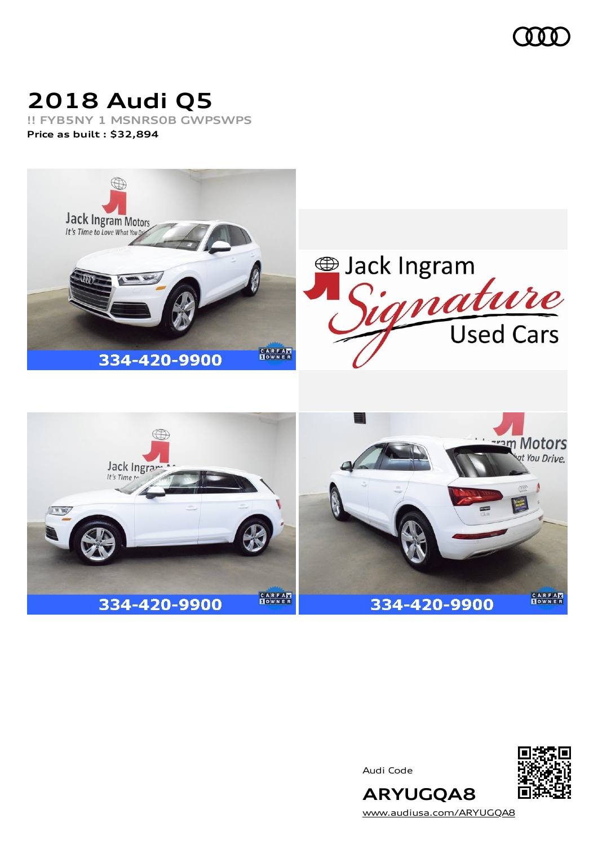

# **2018 Audi Q5**

**!! FYB5NY 1 MSNRS0B GWPSWPS Price as built [:](#page-6-0) \$32,894**

334-420-9900



**CARFAN** 





**CARFAN** 

**ARYUGQA8** [www.audiusa.com/ARYUGQA8](https://www.audiusa.com/ARYUGQA8)

334-420-9900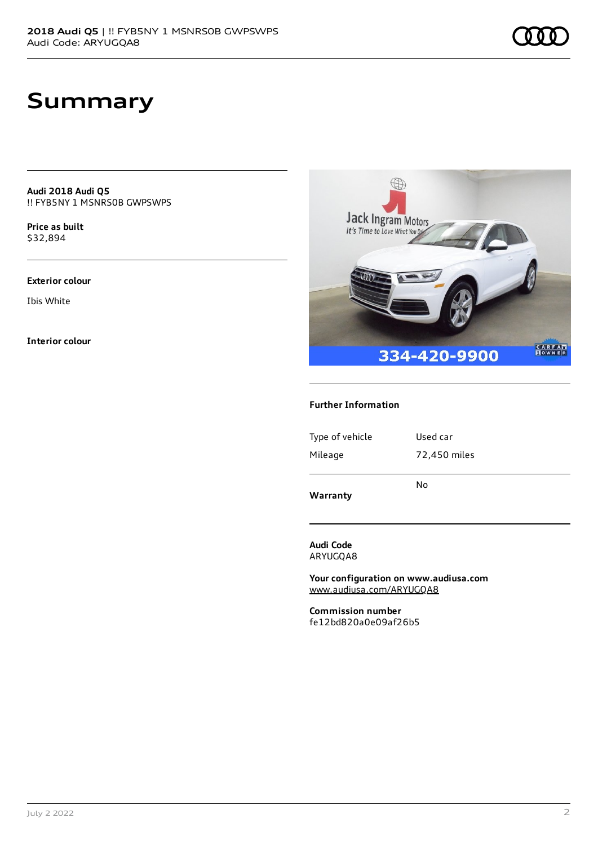**Audi 2018 Audi Q5** !! FYB5NY 1 MSNRS0B GWPSWPS

**Price as buil[t](#page-6-0)** \$32,894

#### **Exterior colour**

Ibis White

**Interior colour**



#### **Further Information**

| Mileage<br>72,450 miles | Warranty        | No       |
|-------------------------|-----------------|----------|
|                         |                 |          |
|                         | Type of vehicle | Used car |
|                         |                 |          |

**Audi Code** ARYUGQA8

**Your configuration on www.audiusa.com** [www.audiusa.com/ARYUGQA8](https://www.audiusa.com/ARYUGQA8)

**Commission number** fe12bd820a0e09af26b5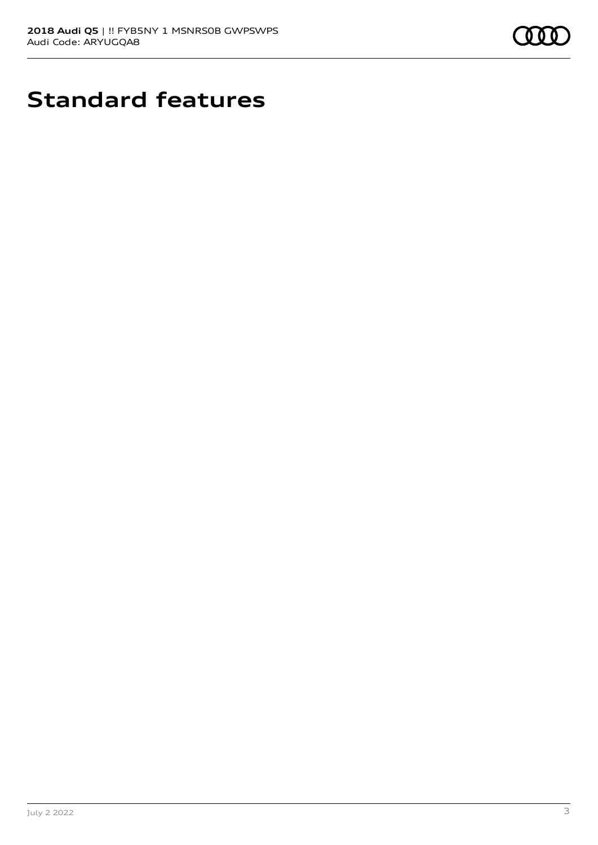

# **Standard features**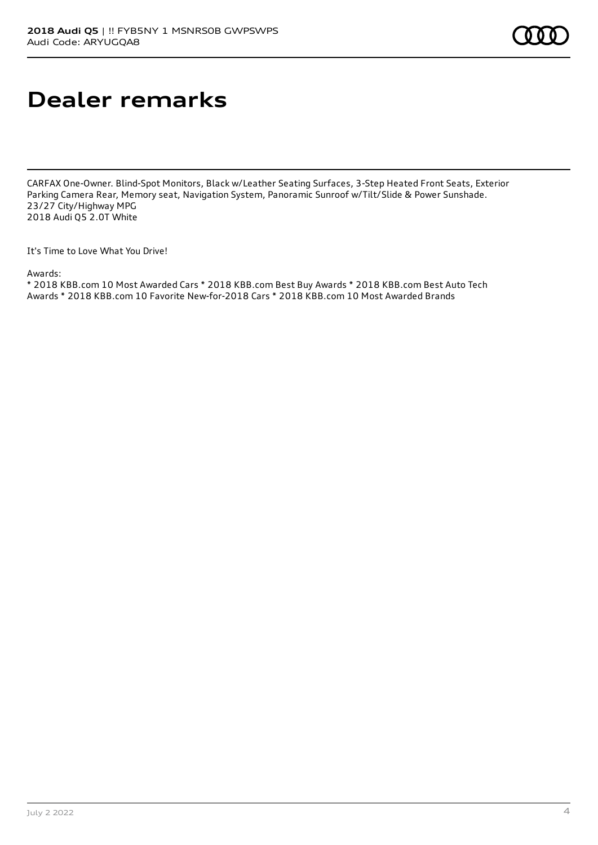# **Dealer remarks**

CARFAX One-Owner. Blind-Spot Monitors, Black w/Leather Seating Surfaces, 3-Step Heated Front Seats, Exterior Parking Camera Rear, Memory seat, Navigation System, Panoramic Sunroof w/Tilt/Slide & Power Sunshade. 23/27 City/Highway MPG 2018 Audi Q5 2.0T White

It's Time to Love What You Drive!

Awards:

\* 2018 KBB.com 10 Most Awarded Cars \* 2018 KBB.com Best Buy Awards \* 2018 KBB.com Best Auto Tech Awards \* 2018 KBB.com 10 Favorite New-for-2018 Cars \* 2018 KBB.com 10 Most Awarded Brands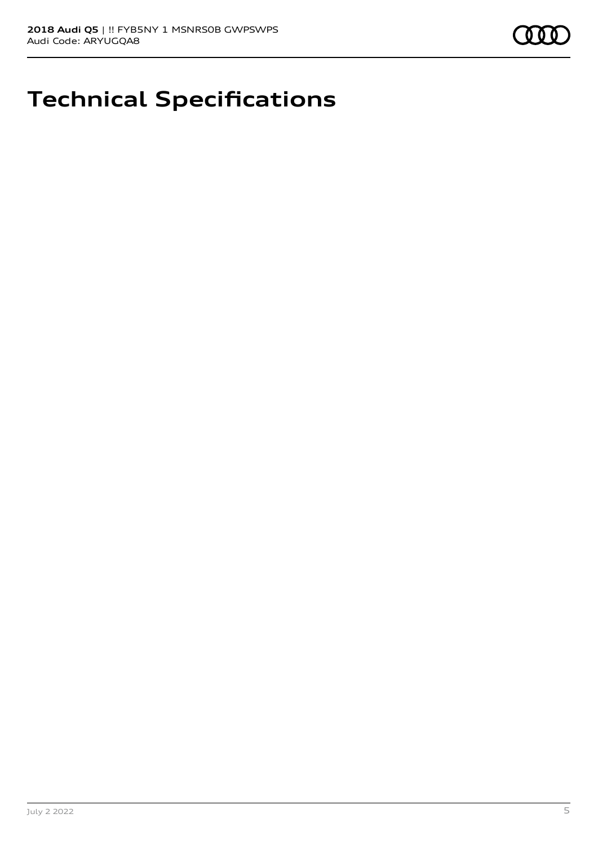

## **Technical Specifications**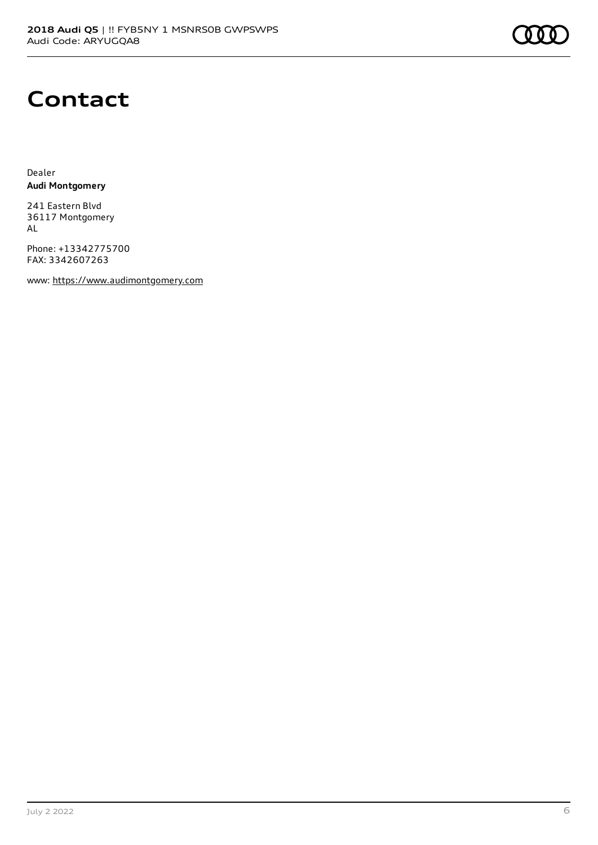## **Contact**

Dealer **Audi Montgomery**

241 Eastern Blvd 36117 Montgomery AL

Phone: +13342775700 FAX: 3342607263

www: [https://www.audimontgomery.com](https://www.audimontgomery.com/)